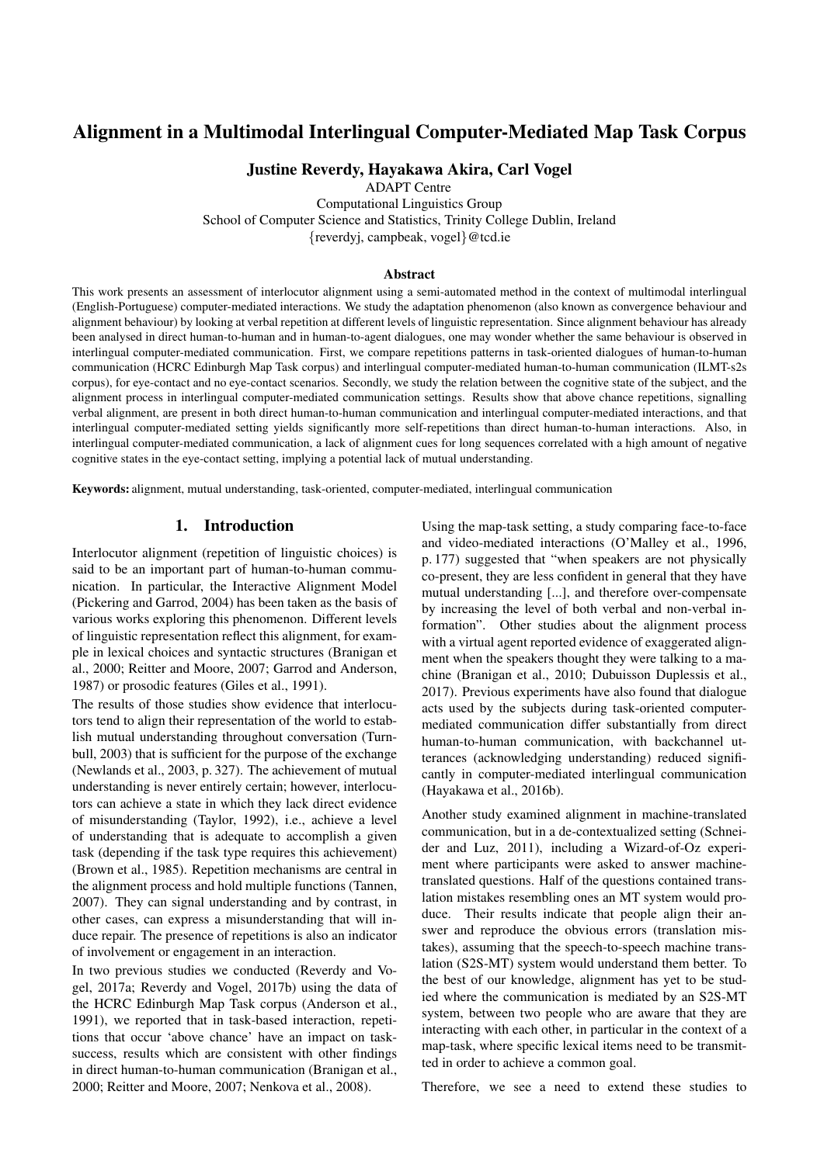# Alignment in a Multimodal Interlingual Computer-Mediated Map Task Corpus

# Justine Reverdy, Hayakawa Akira, Carl Vogel

ADAPT Centre Computational Linguistics Group School of Computer Science and Statistics, Trinity College Dublin, Ireland {reverdyj, campbeak, vogel}@tcd.ie

#### Abstract

This work presents an assessment of interlocutor alignment using a semi-automated method in the context of multimodal interlingual (English-Portuguese) computer-mediated interactions. We study the adaptation phenomenon (also known as convergence behaviour and alignment behaviour) by looking at verbal repetition at different levels of linguistic representation. Since alignment behaviour has already been analysed in direct human-to-human and in human-to-agent dialogues, one may wonder whether the same behaviour is observed in interlingual computer-mediated communication. First, we compare repetitions patterns in task-oriented dialogues of human-to-human communication (HCRC Edinburgh Map Task corpus) and interlingual computer-mediated human-to-human communication (ILMT-s2s corpus), for eye-contact and no eye-contact scenarios. Secondly, we study the relation between the cognitive state of the subject, and the alignment process in interlingual computer-mediated communication settings. Results show that above chance repetitions, signalling verbal alignment, are present in both direct human-to-human communication and interlingual computer-mediated interactions, and that interlingual computer-mediated setting yields significantly more self-repetitions than direct human-to-human interactions. Also, in interlingual computer-mediated communication, a lack of alignment cues for long sequences correlated with a high amount of negative cognitive states in the eye-contact setting, implying a potential lack of mutual understanding.

Keywords: alignment, mutual understanding, task-oriented, computer-mediated, interlingual communication

# 1. Introduction

Interlocutor alignment (repetition of linguistic choices) is said to be an important part of human-to-human communication. In particular, the Interactive Alignment Model [\(Pickering and Garrod, 2004\)](#page-4-0) has been taken as the basis of various works exploring this phenomenon. Different levels of linguistic representation reflect this alignment, for example in lexical choices and syntactic structures [\(Branigan et](#page-4-1) [al., 2000;](#page-4-1) [Reitter and Moore, 2007;](#page-4-2) [Garrod and Anderson,](#page-4-3) [1987\)](#page-4-3) or prosodic features [\(Giles et al., 1991\)](#page-4-4).

The results of those studies show evidence that interlocutors tend to align their representation of the world to establish mutual understanding throughout conversation [\(Turn](#page-4-5)[bull, 2003\)](#page-4-5) that is sufficient for the purpose of the exchange [\(Newlands et al., 2003,](#page-4-6) p. 327). The achievement of mutual understanding is never entirely certain; however, interlocutors can achieve a state in which they lack direct evidence of misunderstanding [\(Taylor, 1992\)](#page-4-7), i.e., achieve a level of understanding that is adequate to accomplish a given task (depending if the task type requires this achievement) [\(Brown et al., 1985\)](#page-4-8). Repetition mechanisms are central in the alignment process and hold multiple functions [\(Tannen,](#page-4-9) [2007\)](#page-4-9). They can signal understanding and by contrast, in other cases, can express a misunderstanding that will induce repair. The presence of repetitions is also an indicator of involvement or engagement in an interaction.

In two previous studies we conducted [\(Reverdy and Vo](#page-4-10)[gel, 2017a;](#page-4-10) [Reverdy and Vogel, 2017b\)](#page-4-11) using the data of the HCRC Edinburgh Map Task corpus [\(Anderson et al.,](#page-4-12) [1991\)](#page-4-12), we reported that in task-based interaction, repetitions that occur 'above chance' have an impact on tasksuccess, results which are consistent with other findings in direct human-to-human communication [\(Branigan et al.,](#page-4-1) [2000;](#page-4-1) [Reitter and Moore, 2007;](#page-4-2) [Nenkova et al., 2008\)](#page-4-13).

Using the map-task setting, a study comparing face-to-face and video-mediated interactions [\(O'Malley et al., 1996,](#page-4-14) p. 177) suggested that "when speakers are not physically co-present, they are less confident in general that they have mutual understanding [...], and therefore over-compensate by increasing the level of both verbal and non-verbal information". Other studies about the alignment process with a virtual agent reported evidence of exaggerated alignment when the speakers thought they were talking to a machine [\(Branigan et al., 2010;](#page-4-15) [Dubuisson Duplessis et al.,](#page-4-16) [2017\)](#page-4-16). Previous experiments have also found that dialogue acts used by the subjects during task-oriented computermediated communication differ substantially from direct human-to-human communication, with backchannel utterances (acknowledging understanding) reduced significantly in computer-mediated interlingual communication [\(Hayakawa et al., 2016b\)](#page-4-17).

Another study examined alignment in machine-translated communication, but in a de-contextualized setting [\(Schnei](#page-4-18)[der and Luz, 2011\)](#page-4-18), including a Wizard-of-Oz experiment where participants were asked to answer machinetranslated questions. Half of the questions contained translation mistakes resembling ones an MT system would produce. Their results indicate that people align their answer and reproduce the obvious errors (translation mistakes), assuming that the speech-to-speech machine translation (S2S-MT) system would understand them better. To the best of our knowledge, alignment has yet to be studied where the communication is mediated by an S2S-MT system, between two people who are aware that they are interacting with each other, in particular in the context of a map-task, where specific lexical items need to be transmitted in order to achieve a common goal.

Therefore, we see a need to extend these studies to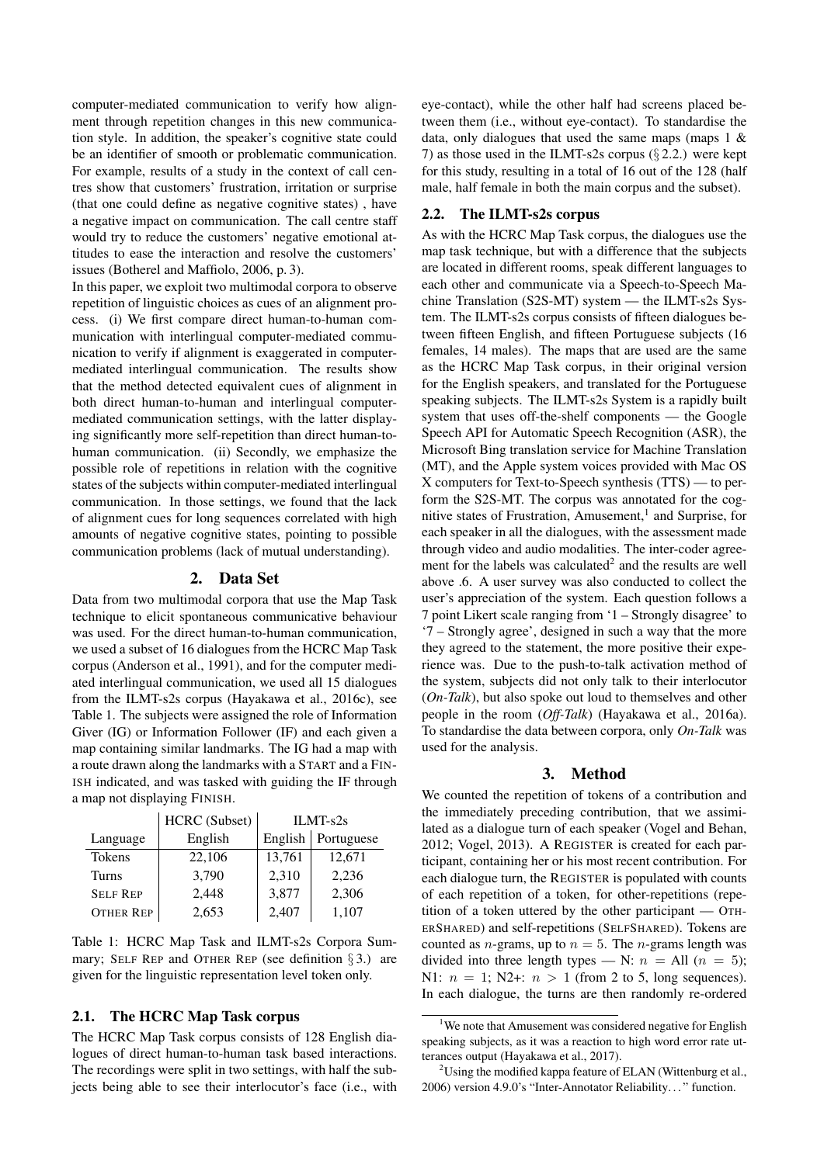computer-mediated communication to verify how alignment through repetition changes in this new communication style. In addition, the speaker's cognitive state could be an identifier of smooth or problematic communication. For example, results of a study in the context of call centres show that customers' frustration, irritation or surprise (that one could define as negative cognitive states) , have a negative impact on communication. The call centre staff would try to reduce the customers' negative emotional attitudes to ease the interaction and resolve the customers' issues [\(Botherel and Maffiolo, 2006,](#page-4-19) p. 3).

In this paper, we exploit two multimodal corpora to observe repetition of linguistic choices as cues of an alignment process. (i) We first compare direct human-to-human communication with interlingual computer-mediated communication to verify if alignment is exaggerated in computermediated interlingual communication. The results show that the method detected equivalent cues of alignment in both direct human-to-human and interlingual computermediated communication settings, with the latter displaying significantly more self-repetition than direct human-tohuman communication. (ii) Secondly, we emphasize the possible role of repetitions in relation with the cognitive states of the subjects within computer-mediated interlingual communication. In those settings, we found that the lack of alignment cues for long sequences correlated with high amounts of negative cognitive states, pointing to possible communication problems (lack of mutual understanding).

#### 2. Data Set

Data from two multimodal corpora that use the Map Task technique to elicit spontaneous communicative behaviour was used. For the direct human-to-human communication, we used a subset of 16 dialogues from the HCRC Map Task corpus [\(Anderson et al., 1991\)](#page-4-12), and for the computer mediated interlingual communication, we used all 15 dialogues from the ILMT-s2s corpus [\(Hayakawa et al., 2016c\)](#page-4-20), see [Table 1.](#page-1-0) The subjects were assigned the role of Information Giver (IG) or Information Follower (IF) and each given a map containing similar landmarks. The IG had a map with a route drawn along the landmarks with a START and a FIN-ISH indicated, and was tasked with guiding the IF through a map not displaying FINISH.

|                  | <b>HCRC</b> (Subset) | $ILMT-S2s$ |            |  |
|------------------|----------------------|------------|------------|--|
| Language         | English              | English    | Portuguese |  |
| <b>Tokens</b>    | 22,106               | 13,761     | 12,671     |  |
| Turns            | 3,790                | 2,310      | 2,236      |  |
| <b>SELF REP</b>  | 2,448                | 3,877      | 2,306      |  |
| <b>OTHER REP</b> | 2,653                | 2,407      | 1,107      |  |

<span id="page-1-0"></span>Table 1: HCRC Map Task and ILMT-s2s Corpora Summary; SELF REP and OTHER REP (see definition  $\S 3$ .) are given for the linguistic representation level token only.

#### 2.1. The HCRC Map Task corpus

The HCRC Map Task corpus consists of 128 English dialogues of direct human-to-human task based interactions. The recordings were split in two settings, with half the subjects being able to see their interlocutor's face (i.e., with eye-contact), while the other half had screens placed between them (i.e., without eye-contact). To standardise the data, only dialogues that used the same maps (maps 1 & 7) as those used in the ILMT-s2s corpus  $(\S 2.2.)$  $(\S 2.2.)$  were kept for this study, resulting in a total of 16 out of the 128 (half male, half female in both the main corpus and the subset).

## <span id="page-1-2"></span>2.2. The ILMT-s2s corpus

As with the HCRC Map Task corpus, the dialogues use the map task technique, but with a difference that the subjects are located in different rooms, speak different languages to each other and communicate via a Speech-to-Speech Machine Translation (S2S-MT) system — the ILMT-s2s System. The ILMT-s2s corpus consists of fifteen dialogues between fifteen English, and fifteen Portuguese subjects (16 females, 14 males). The maps that are used are the same as the HCRC Map Task corpus, in their original version for the English speakers, and translated for the Portuguese speaking subjects. The ILMT-s2s System is a rapidly built system that uses off-the-shelf components — the Google Speech API for Automatic Speech Recognition (ASR), the Microsoft Bing translation service for Machine Translation (MT), and the Apple system voices provided with Mac OS X computers for Text-to-Speech synthesis (TTS) — to perform the S2S-MT. The corpus was annotated for the cog-nitive states of Frustration, Amusement,<sup>[1](#page-1-3)</sup> and Surprise, for each speaker in all the dialogues, with the assessment made through video and audio modalities. The inter-coder agreement for the labels was calculated $2$  and the results are well above .6. A user survey was also conducted to collect the user's appreciation of the system. Each question follows a 7 point Likert scale ranging from '1 – Strongly disagree' to '7 – Strongly agree', designed in such a way that the more they agreed to the statement, the more positive their experience was. Due to the push-to-talk activation method of the system, subjects did not only talk to their interlocutor (*On-Talk*), but also spoke out loud to themselves and other people in the room (*Off-Talk*) [\(Hayakawa et al., 2016a\)](#page-4-21). To standardise the data between corpora, only *On-Talk* was used for the analysis.

# 3. Method

<span id="page-1-1"></span>We counted the repetition of tokens of a contribution and the immediately preceding contribution, that we assimilated as a dialogue turn of each speaker [\(Vogel and Behan,](#page-4-22) [2012;](#page-4-22) [Vogel, 2013\)](#page-4-23). A REGISTER is created for each participant, containing her or his most recent contribution. For each dialogue turn, the REGISTER is populated with counts of each repetition of a token, for other-repetitions (repetition of a token uttered by the other participant — OTH-ERSHARED) and self-repetitions (SELFSHARED). Tokens are counted as *n*-grams, up to  $n = 5$ . The *n*-grams length was divided into three length types — N:  $n =$  All ( $n = 5$ ); N1:  $n = 1$ ; N2+:  $n > 1$  (from 2 to 5, long sequences). In each dialogue, the turns are then randomly re-ordered

<span id="page-1-3"></span><sup>&</sup>lt;sup>1</sup>We note that Amusement was considered negative for English speaking subjects, as it was a reaction to high word error rate utterances output [\(Hayakawa et al., 2017\)](#page-4-24).

<span id="page-1-4"></span> $2^2$ Using the modified kappa feature of ELAN [\(Wittenburg et al.,](#page-4-25) [2006\)](#page-4-25) version 4.9.0's "Inter-Annotator Reliability. . . " function.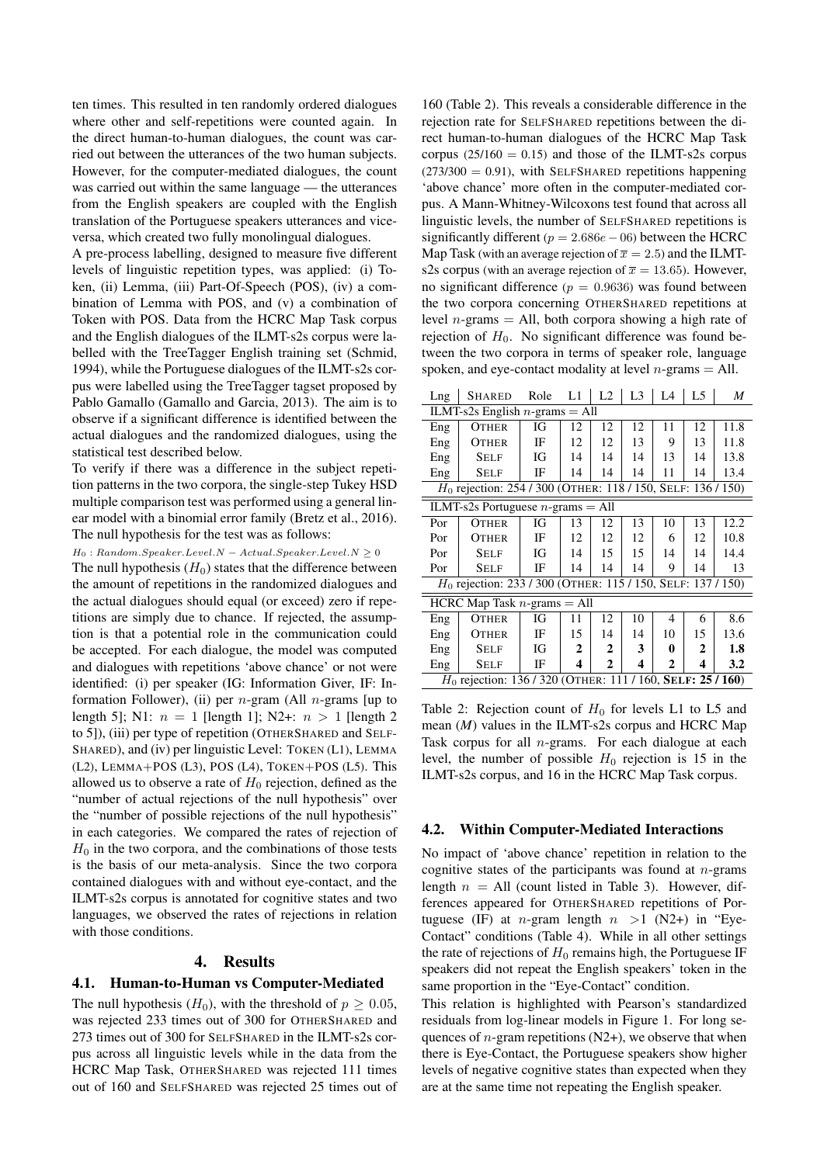ten times. This resulted in ten randomly ordered dialogues where other and self-repetitions were counted again. In the direct human-to-human dialogues, the count was carried out between the utterances of the two human subjects. However, for the computer-mediated dialogues, the count was carried out within the same language — the utterances from the English speakers are coupled with the English translation of the Portuguese speakers utterances and viceversa, which created two fully monolingual dialogues.

A pre-process labelling, designed to measure five different levels of linguistic repetition types, was applied: (i) Token, (ii) Lemma, (iii) Part-Of-Speech (POS), (iv) a combination of Lemma with POS, and (v) a combination of Token with POS. Data from the HCRC Map Task corpus and the English dialogues of the ILMT-s2s corpus were labelled with the TreeTagger English training set [\(Schmid,](#page-4-26) [1994\)](#page-4-26), while the Portuguese dialogues of the ILMT-s2s corpus were labelled using the TreeTagger tagset proposed by Pablo Gamallo [\(Gamallo and Garcia, 2013\)](#page-4-27). The aim is to observe if a significant difference is identified between the actual dialogues and the randomized dialogues, using the statistical test described below.

To verify if there was a difference in the subject repetition patterns in the two corpora, the single-step Tukey HSD multiple comparison test was performed using a general linear model with a binomial error family [\(Bretz et al., 2016\)](#page-4-28). The null hypothesis for the test was as follows:

 $H_0: Random.Specer.Level.N - Actual. Special. Recall on the following property: \begin{equation*} \begin{aligned} H_0: \textit{Random}.S{} p e a k r L e v e l N - Actual. Special. \end{aligned} \end{equation*}$ The null hypothesis  $(H_0)$  states that the difference between the amount of repetitions in the randomized dialogues and the actual dialogues should equal (or exceed) zero if repetitions are simply due to chance. If rejected, the assumption is that a potential role in the communication could be accepted. For each dialogue, the model was computed and dialogues with repetitions 'above chance' or not were identified: (i) per speaker (IG: Information Giver, IF: Information Follower), (ii) per  $n$ -gram (All  $n$ -grams [up to length 5]; N1:  $n = 1$  [length 1]; N2+:  $n > 1$  [length 2 to 5]), (iii) per type of repetition (OTHERSHARED and SELF-SHARED), and (iv) per linguistic Level: TOKEN (L1), LEMMA (L2), LEMMA+POS (L3), POS (L4), TOKEN+POS (L5). This allowed us to observe a rate of  $H_0$  rejection, defined as the "number of actual rejections of the null hypothesis" over the "number of possible rejections of the null hypothesis" in each categories. We compared the rates of rejection of  $H_0$  in the two corpora, and the combinations of those tests is the basis of our meta-analysis. Since the two corpora contained dialogues with and without eye-contact, and the ILMT-s2s corpus is annotated for cognitive states and two languages, we observed the rates of rejections in relation with those conditions.

#### 4. Results

#### 4.1. Human-to-Human vs Computer-Mediated

The null hypothesis  $(H_0)$ , with the threshold of  $p \geq 0.05$ , was rejected 233 times out of 300 for OTHERSHARED and 273 times out of 300 for SELFSHARED in the ILMT-s2s corpus across all linguistic levels while in the data from the HCRC Map Task, OTHERSHARED was rejected 111 times out of 160 and SELFSHARED was rejected 25 times out of

160 [\(Table 2\)](#page-2-0). This reveals a considerable difference in the rejection rate for SELFSHARED repetitions between the direct human-to-human dialogues of the HCRC Map Task corpus ( $25/160 = 0.15$ ) and those of the ILMT-s2s corpus  $(273/300 = 0.91)$ , with SELFSHARED repetitions happening 'above chance' more often in the computer-mediated corpus. A Mann-Whitney-Wilcoxons test found that across all linguistic levels, the number of SELFSHARED repetitions is significantly different ( $p = 2.686e - 06$ ) between the HCRC Map Task (with an average rejection of  $\overline{x} = 2.5$ ) and the ILMTs2s corpus (with an average rejection of  $\bar{x} = 13.65$ ). However, no significant difference ( $p = 0.9636$ ) was found between the two corpora concerning OTHERSHARED repetitions at level *n*-grams  $=$  All, both corpora showing a high rate of rejection of  $H_0$ . No significant difference was found between the two corpora in terms of speaker role, language spoken, and eye-contact modality at level  $n$ -grams  $=$  All.

| Lng                                                                     | <b>SHARED</b> | Role      | L1 | L2 | L <sub>3</sub> | L4 | L5 | M    |  |
|-------------------------------------------------------------------------|---------------|-----------|----|----|----------------|----|----|------|--|
| ILMT-s2s English $n$ -grams = All                                       |               |           |    |    |                |    |    |      |  |
| Eng                                                                     | <b>OTHER</b>  | Юf        | 12 | 12 | 12             | 11 | 12 | 11.8 |  |
| Eng                                                                     | <b>OTHER</b>  | IF        | 12 | 12 | 13             | 9  | 13 | 11.8 |  |
| Eng                                                                     | <b>SELF</b>   | <b>IG</b> | 14 | 14 | 14             | 13 | 14 | 13.8 |  |
| Eng                                                                     | <b>SELF</b>   | IF        | 14 | 14 | 14             | 11 | 14 | 13.4 |  |
| $H_0$ rejection: 254 / 300 (OTHER: 118 / 150, SELF: 136 / 150)          |               |           |    |    |                |    |    |      |  |
| ILMT-s2s Portuguese $n$ -grams = All                                    |               |           |    |    |                |    |    |      |  |
| Por                                                                     | <b>OTHER</b>  | Юf        | 13 | 12 | 13             | 10 | 13 | 12.2 |  |
| Por                                                                     | <b>OTHER</b>  | IF        | 12 | 12 | 12             | 6  | 12 | 10.8 |  |
| Por                                                                     | Self          | Юf        | 14 | 15 | 15             | 14 | 14 | 14.4 |  |
| Por                                                                     | <b>SELF</b>   | IF        | 14 | 14 | 14             | 9  | 14 | 13   |  |
| H <sub>0</sub> rejection: 233 / 300 (OTHER: 115 / 150, SELF: 137 / 150) |               |           |    |    |                |    |    |      |  |
| HCRC Map Task $n$ -grams = All                                          |               |           |    |    |                |    |    |      |  |
| Eng                                                                     | <b>OTHER</b>  | Юf        | 11 | 12 | 10             | 4  | 6  | 8.6  |  |
| Eng                                                                     | <b>OTHER</b>  | IF        | 15 | 14 | 14             | 10 | 15 | 13.6 |  |
| Eng                                                                     | <b>SELF</b>   | Юf        | 2  | 2  | 3              | 0  | 2  | 1.8  |  |
| Eng                                                                     | <b>SELF</b>   | IF        | 4  | 2  | 4              | 2  | 4  | 3.2  |  |
| $H_0$ rejection: 136/320 (OTHER: 111/160, SELF: 25/160)                 |               |           |    |    |                |    |    |      |  |

<span id="page-2-0"></span>Table 2: Rejection count of  $H_0$  for levels L1 to L5 and mean (*M*) values in the ILMT-s2s corpus and HCRC Map Task corpus for all  $n$ -grams. For each dialogue at each level, the number of possible  $H_0$  rejection is 15 in the ILMT-s2s corpus, and 16 in the HCRC Map Task corpus.

#### 4.2. Within Computer-Mediated Interactions

No impact of 'above chance' repetition in relation to the cognitive states of the participants was found at  $n$ -grams length  $n = All$  (count listed in [Table 3\)](#page-3-0). However, differences appeared for OTHERSHARED repetitions of Portuguese (IF) at *n*-gram length  $n > 1$  (N2+) in "Eye-Contact" conditions [\(Table 4\)](#page-3-1). While in all other settings the rate of rejections of  $H_0$  remains high, the Portuguese IF speakers did not repeat the English speakers' token in the same proportion in the "Eye-Contact" condition.

This relation is highlighted with Pearson's standardized residuals from log-linear models in [Figure 1.](#page-3-2) For long sequences of *n*-gram repetitions (N2+), we observe that when there is Eye-Contact, the Portuguese speakers show higher levels of negative cognitive states than expected when they are at the same time not repeating the English speaker.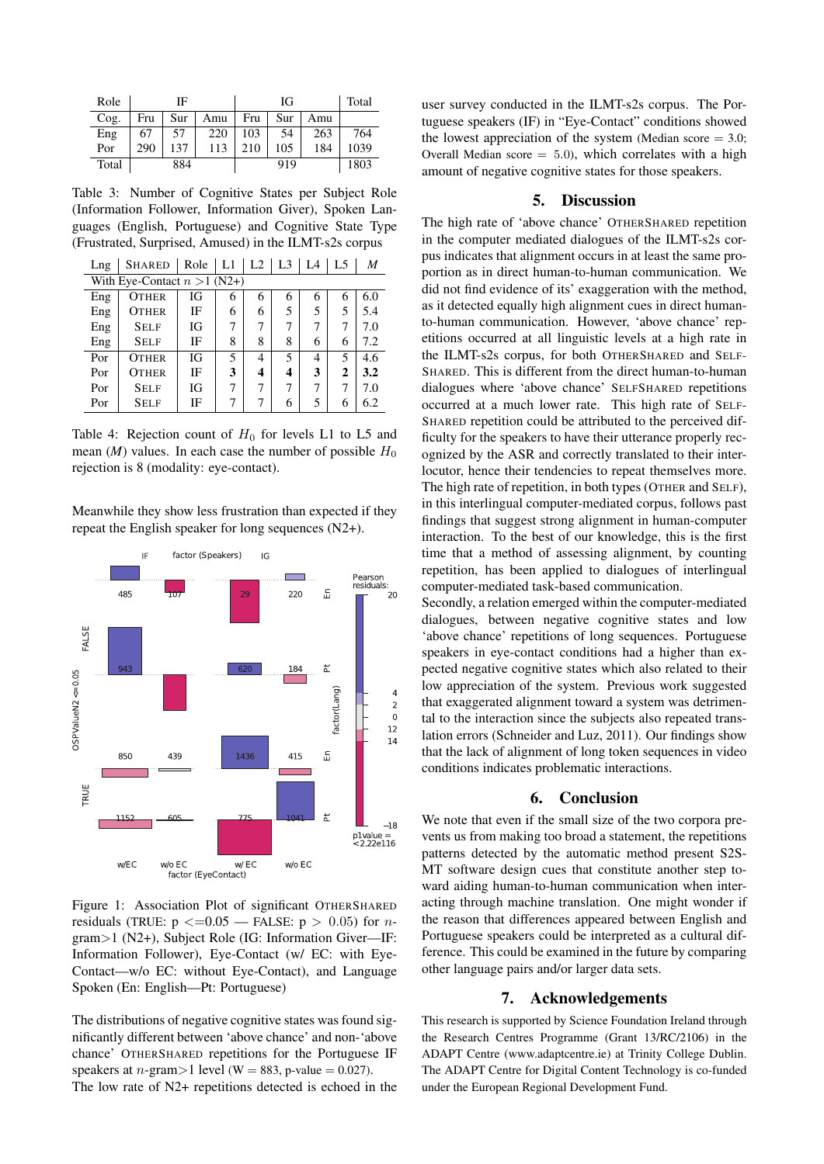| Role  | ΙF  |     |     | IG  |     |     | Total |
|-------|-----|-----|-----|-----|-----|-----|-------|
| Cog.  | Fru | Sur | Amu | Fru | Sur | Amu |       |
| Eng   | 67  | 57  | 220 | 103 | 54  | 263 | 764   |
| Por   | 290 | 137 | 113 | 210 | 105 | 184 | 1039  |
| Total | 884 |     |     | 919 |     |     | 1803  |

<span id="page-3-0"></span>Table 3: Number of Cognitive States per Subject Role (Information Follower, Information Giver), Spoken Languages (English, Portuguese) and Cognitive State Type (Frustrated, Surprised, Amused) in the ILMT-s2s corpus

| Lng                            | <b>SHARED</b> | Role | L1 | $L2 \perp L3$ |   | IA | L <sub>5</sub> | M   |  |
|--------------------------------|---------------|------|----|---------------|---|----|----------------|-----|--|
| With Eye-Contact $n > 1$ (N2+) |               |      |    |               |   |    |                |     |  |
| Eng                            | <b>OTHER</b>  | ΙG   | 6  | 6             | 6 | 6  | 6              | 6.0 |  |
| Eng                            | <b>OTHER</b>  | IF   | 6  | 6             | 5 | 5  | 5              | 5.4 |  |
| Eng                            | <b>SELF</b>   | IG   | 7  | 7             | 7 |    | 7              | 7.0 |  |
| Eng                            | <b>SELF</b>   | IF   | 8  | 8             | 8 | 6  | 6              | 7.2 |  |
| Por                            | <b>OTHER</b>  | IG   | 5  | 4             | 5 | 4  | 5              | 4.6 |  |
| Por                            | <b>OTHER</b>  | IF   | 3  | 4             | 4 | 3  | $\mathbf{2}$   | 3.2 |  |
| Por                            | <b>SELF</b>   | ΙG   | 7  | 7             | 7 |    | 7              | 7.0 |  |
| Por                            | <b>SELF</b>   | IF   | ┑  | 7             | 6 | 5  | 6              | 6.2 |  |

<span id="page-3-1"></span>Table 4: Rejection count of  $H_0$  for levels L1 to L5 and mean  $(M)$  values. In each case the number of possible  $H_0$ rejection is 8 (modality: eye-contact).

Meanwhile they show less frustration than expected if they repeat the English speaker for long sequences (N2+).



<span id="page-3-2"></span>Figure 1: Association Plot of significant OTHERSHARED residuals (TRUE:  $p \leq 0.05$  — FALSE:  $p > 0.05$ ) for ngram>1 (N2+), Subject Role (IG: Information Giver—IF: Information Follower), Eye-Contact (w/ EC: with Eye-Contact—w/o EC: without Eye-Contact), and Language Spoken (En: English—Pt: Portuguese)

The distributions of negative cognitive states was found significantly different between 'above chance' and non-'above chance' OTHERSHARED repetitions for the Portuguese IF speakers at *n*-gram>1 level (W = 883, p-value = 0.027). The low rate of N2+ repetitions detected is echoed in the user survey conducted in the ILMT-s2s corpus. The Portuguese speakers (IF) in "Eye-Contact" conditions showed the lowest appreciation of the system (Median score  $= 3.0$ ; Overall Median score  $= 5.0$ , which correlates with a high amount of negative cognitive states for those speakers.

## 5. Discussion

The high rate of 'above chance' OTHERSHARED repetition in the computer mediated dialogues of the ILMT-s2s corpus indicates that alignment occurs in at least the same proportion as in direct human-to-human communication. We did not find evidence of its' exaggeration with the method, as it detected equally high alignment cues in direct humanto-human communication. However, 'above chance' repetitions occurred at all linguistic levels at a high rate in the ILMT-s2s corpus, for both OTHERSHARED and SELF-SHARED. This is different from the direct human-to-human dialogues where 'above chance' SELFSHARED repetitions occurred at a much lower rate. This high rate of SELF-SHARED repetition could be attributed to the perceived difficulty for the speakers to have their utterance properly recognized by the ASR and correctly translated to their interlocutor, hence their tendencies to repeat themselves more. The high rate of repetition, in both types (OTHER and SELF), in this interlingual computer-mediated corpus, follows past findings that suggest strong alignment in human-computer interaction. To the best of our knowledge, this is the first time that a method of assessing alignment, by counting repetition, has been applied to dialogues of interlingual computer-mediated task-based communication.

Secondly, a relation emerged within the computer-mediated dialogues, between negative cognitive states and low 'above chance' repetitions of long sequences. Portuguese speakers in eye-contact conditions had a higher than expected negative cognitive states which also related to their low appreciation of the system. Previous work suggested that exaggerated alignment toward a system was detrimental to the interaction since the subjects also repeated translation errors [\(Schneider and Luz, 2011\)](#page-4-18). Our findings show that the lack of alignment of long token sequences in video conditions indicates problematic interactions.

### 6. Conclusion

We note that even if the small size of the two corpora prevents us from making too broad a statement, the repetitions patterns detected by the automatic method present S2S-MT software design cues that constitute another step toward aiding human-to-human communication when interacting through machine translation. One might wonder if the reason that differences appeared between English and Portuguese speakers could be interpreted as a cultural difference. This could be examined in the future by comparing other language pairs and/or larger data sets.

## 7. Acknowledgements

This research is supported by Science Foundation Ireland through the Research Centres Programme (Grant 13/RC/2106) in the ADAPT Centre (www.adaptcentre.ie) at Trinity College Dublin. The ADAPT Centre for Digital Content Technology is co-funded under the European Regional Development Fund.